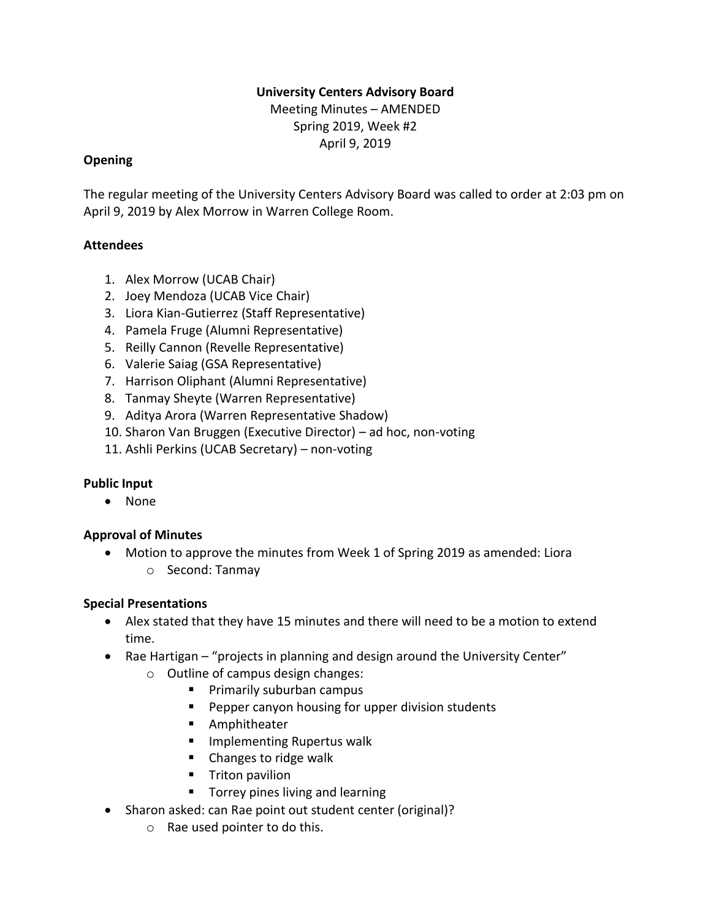# **University Centers Advisory Board**

Meeting Minutes – AMENDED Spring 2019, Week #2 April 9, 2019

### **Opening**

The regular meeting of the University Centers Advisory Board was called to order at 2:03 pm on April 9, 2019 by Alex Morrow in Warren College Room.

## **Attendees**

- 1. Alex Morrow (UCAB Chair)
- 2. Joey Mendoza (UCAB Vice Chair)
- 3. Liora Kian-Gutierrez (Staff Representative)
- 4. Pamela Fruge (Alumni Representative)
- 5. Reilly Cannon (Revelle Representative)
- 6. Valerie Saiag (GSA Representative)
- 7. Harrison Oliphant (Alumni Representative)
- 8. Tanmay Sheyte (Warren Representative)
- 9. Aditya Arora (Warren Representative Shadow)
- 10. Sharon Van Bruggen (Executive Director) ad hoc, non-voting
- 11. Ashli Perkins (UCAB Secretary) non-voting

### **Public Input**

• None

# **Approval of Minutes**

• Motion to approve the minutes from Week 1 of Spring 2019 as amended: Liora o Second: Tanmay

### **Special Presentations**

- Alex stated that they have 15 minutes and there will need to be a motion to extend time.
- Rae Hartigan "projects in planning and design around the University Center"
	- o Outline of campus design changes:
		- Primarily suburban campus
		- Pepper canyon housing for upper division students
		- Amphitheater
		- Implementing Rupertus walk
		- Changes to ridge walk
		- Triton pavilion
		- Torrey pines living and learning
- Sharon asked: can Rae point out student center (original)?
	- o Rae used pointer to do this.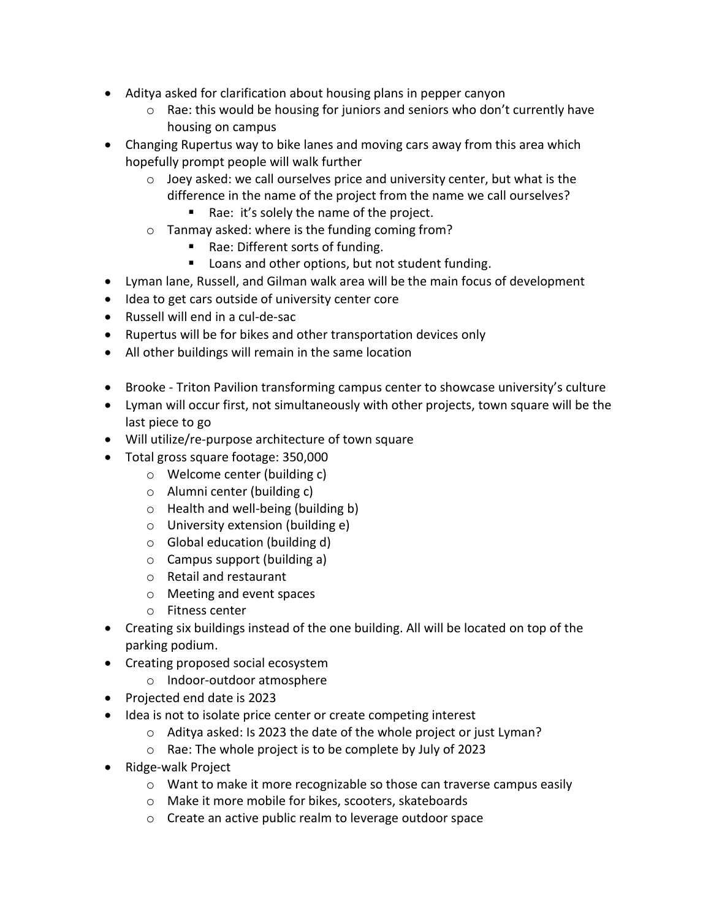- Aditya asked for clarification about housing plans in pepper canyon
	- $\circ$  Rae: this would be housing for juniors and seniors who don't currently have housing on campus
- Changing Rupertus way to bike lanes and moving cars away from this area which hopefully prompt people will walk further
	- o Joey asked: we call ourselves price and university center, but what is the difference in the name of the project from the name we call ourselves?
		- Rae: it's solely the name of the project.
	- o Tanmay asked: where is the funding coming from?
		- Rae: Different sorts of funding.
		- Loans and other options, but not student funding.
- Lyman lane, Russell, and Gilman walk area will be the main focus of development
- Idea to get cars outside of university center core
- Russell will end in a cul-de-sac
- Rupertus will be for bikes and other transportation devices only
- All other buildings will remain in the same location
- Brooke Triton Pavilion transforming campus center to showcase university's culture
- Lyman will occur first, not simultaneously with other projects, town square will be the last piece to go
- Will utilize/re-purpose architecture of town square
- Total gross square footage: 350,000
	- o Welcome center (building c)
	- o Alumni center (building c)
	- o Health and well-being (building b)
	- o University extension (building e)
	- o Global education (building d)
	- o Campus support (building a)
	- o Retail and restaurant
	- o Meeting and event spaces
	- o Fitness center
- Creating six buildings instead of the one building. All will be located on top of the parking podium.
- Creating proposed social ecosystem
	- o Indoor-outdoor atmosphere
- Projected end date is 2023
- Idea is not to isolate price center or create competing interest
	- o Aditya asked: Is 2023 the date of the whole project or just Lyman?
	- o Rae: The whole project is to be complete by July of 2023
- Ridge-walk Project
	- o Want to make it more recognizable so those can traverse campus easily
	- o Make it more mobile for bikes, scooters, skateboards
	- o Create an active public realm to leverage outdoor space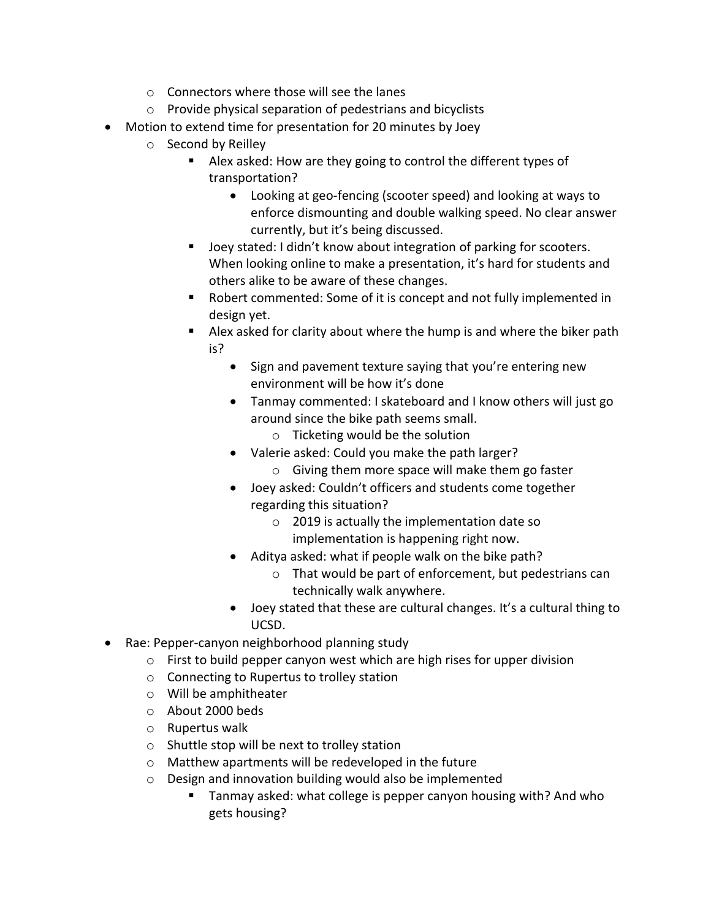- o Connectors where those will see the lanes
- o Provide physical separation of pedestrians and bicyclists
- Motion to extend time for presentation for 20 minutes by Joey
	- o Second by Reilley
		- Alex asked: How are they going to control the different types of transportation?
			- Looking at geo-fencing (scooter speed) and looking at ways to enforce dismounting and double walking speed. No clear answer currently, but it's being discussed.
		- Joey stated: I didn't know about integration of parking for scooters. When looking online to make a presentation, it's hard for students and others alike to be aware of these changes.
		- Robert commented: Some of it is concept and not fully implemented in design yet.
		- Alex asked for clarity about where the hump is and where the biker path is?
			- Sign and pavement texture saying that you're entering new environment will be how it's done
			- Tanmay commented: I skateboard and I know others will just go around since the bike path seems small.
				- o Ticketing would be the solution
			- Valerie asked: Could you make the path larger?
				- o Giving them more space will make them go faster
			- Joey asked: Couldn't officers and students come together regarding this situation?
				- o 2019 is actually the implementation date so implementation is happening right now.
			- Aditya asked: what if people walk on the bike path?
				- o That would be part of enforcement, but pedestrians can technically walk anywhere.
			- Joey stated that these are cultural changes. It's a cultural thing to UCSD.
- Rae: Pepper-canyon neighborhood planning study
	- o First to build pepper canyon west which are high rises for upper division
	- o Connecting to Rupertus to trolley station
	- o Will be amphitheater
	- o About 2000 beds
	- o Rupertus walk
	- o Shuttle stop will be next to trolley station
	- o Matthew apartments will be redeveloped in the future
	- o Design and innovation building would also be implemented
		- Tanmay asked: what college is pepper canyon housing with? And who gets housing?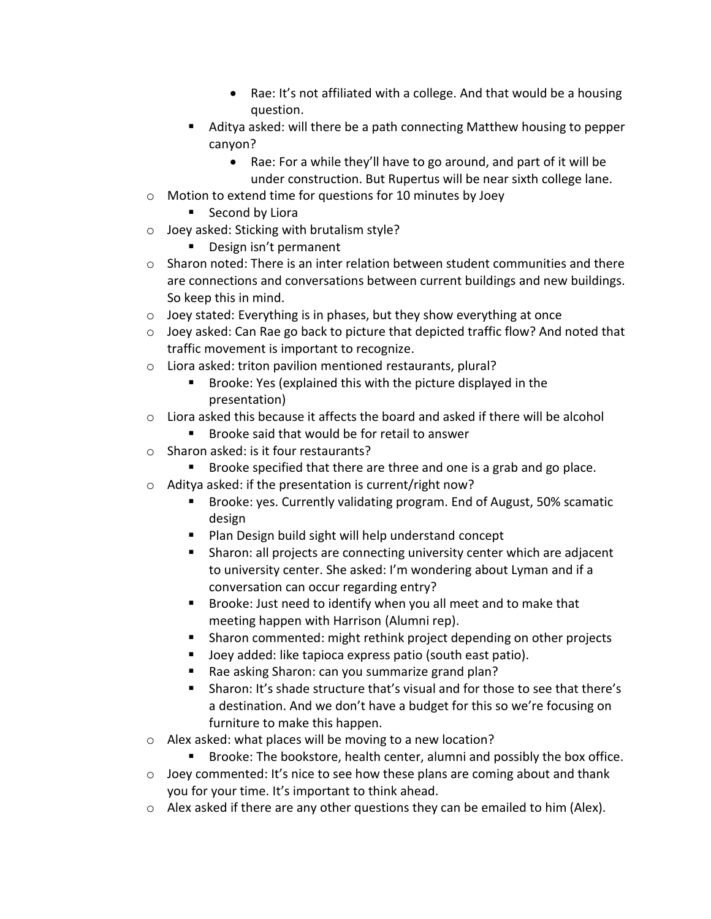- Rae: It's not affiliated with a college. And that would be a housing question.
- Aditya asked: will there be a path connecting Matthew housing to pepper canyon?
	- Rae: For a while they'll have to go around, and part of it will be under construction. But Rupertus will be near sixth college lane.
- o Motion to extend time for questions for 10 minutes by Joey
	- Second by Liora
- o Joey asked: Sticking with brutalism style?
	- Design isn't permanent
- $\circ$  Sharon noted: There is an inter relation between student communities and there are connections and conversations between current buildings and new buildings. So keep this in mind.
- o Joey stated: Everything is in phases, but they show everything at once
- o Joey asked: Can Rae go back to picture that depicted traffic flow? And noted that traffic movement is important to recognize.
- o Liora asked: triton pavilion mentioned restaurants, plural?
	- Brooke: Yes (explained this with the picture displayed in the presentation)
- $\circ$  Liora asked this because it affects the board and asked if there will be alcohol
	- Brooke said that would be for retail to answer
- o Sharon asked: is it four restaurants?
	- Brooke specified that there are three and one is a grab and go place.
- o Aditya asked: if the presentation is current/right now?
	- Brooke: yes. Currently validating program. End of August, 50% scamatic design
	- Plan Design build sight will help understand concept
	- Sharon: all projects are connecting university center which are adjacent to university center. She asked: I'm wondering about Lyman and if a conversation can occur regarding entry?
	- Brooke: Just need to identify when you all meet and to make that meeting happen with Harrison (Alumni rep).
	- Sharon commented: might rethink project depending on other projects
	- Joey added: like tapioca express patio (south east patio).
	- Rae asking Sharon: can you summarize grand plan?
	- Sharon: It's shade structure that's visual and for those to see that there's a destination. And we don't have a budget for this so we're focusing on furniture to make this happen.
- o Alex asked: what places will be moving to a new location?
	- Brooke: The bookstore, health center, alumni and possibly the box office.
- $\circ$  Joey commented: It's nice to see how these plans are coming about and thank you for your time. It's important to think ahead.
- $\circ$  Alex asked if there are any other questions they can be emailed to him (Alex).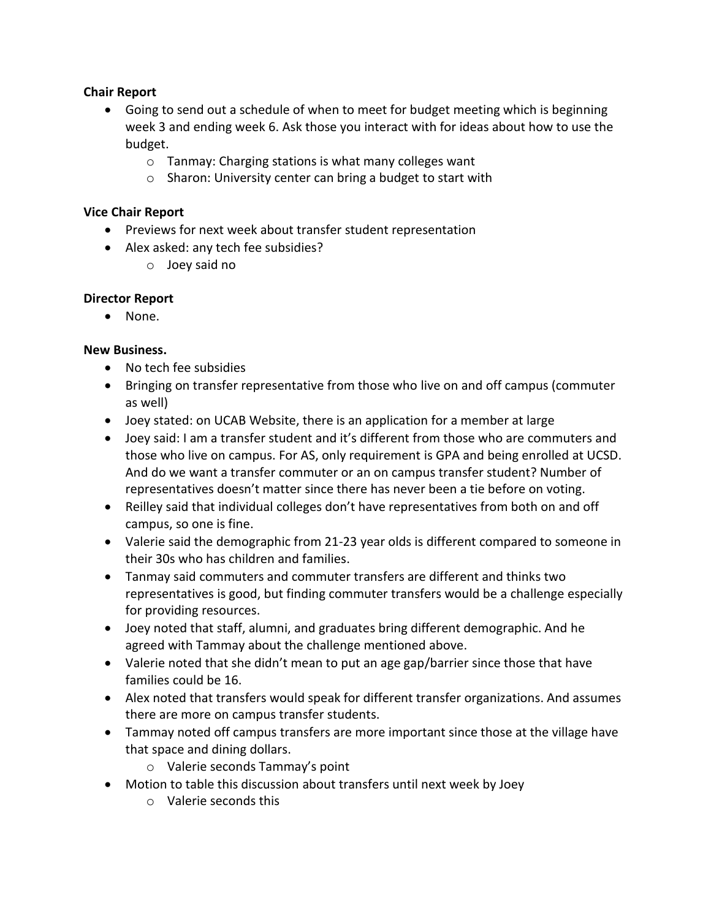# **Chair Report**

- Going to send out a schedule of when to meet for budget meeting which is beginning week 3 and ending week 6. Ask those you interact with for ideas about how to use the budget.
	- o Tanmay: Charging stations is what many colleges want
	- o Sharon: University center can bring a budget to start with

## **Vice Chair Report**

- Previews for next week about transfer student representation
- Alex asked: any tech fee subsidies?
	- o Joey said no

## **Director Report**

• None.

## **New Business.**

- No tech fee subsidies
- Bringing on transfer representative from those who live on and off campus (commuter as well)
- Joey stated: on UCAB Website, there is an application for a member at large
- Joey said: I am a transfer student and it's different from those who are commuters and those who live on campus. For AS, only requirement is GPA and being enrolled at UCSD. And do we want a transfer commuter or an on campus transfer student? Number of representatives doesn't matter since there has never been a tie before on voting.
- Reilley said that individual colleges don't have representatives from both on and off campus, so one is fine.
- Valerie said the demographic from 21-23 year olds is different compared to someone in their 30s who has children and families.
- Tanmay said commuters and commuter transfers are different and thinks two representatives is good, but finding commuter transfers would be a challenge especially for providing resources.
- Joey noted that staff, alumni, and graduates bring different demographic. And he agreed with Tammay about the challenge mentioned above.
- Valerie noted that she didn't mean to put an age gap/barrier since those that have families could be 16.
- Alex noted that transfers would speak for different transfer organizations. And assumes there are more on campus transfer students.
- Tammay noted off campus transfers are more important since those at the village have that space and dining dollars.
	- o Valerie seconds Tammay's point
- Motion to table this discussion about transfers until next week by Joey
	- o Valerie seconds this